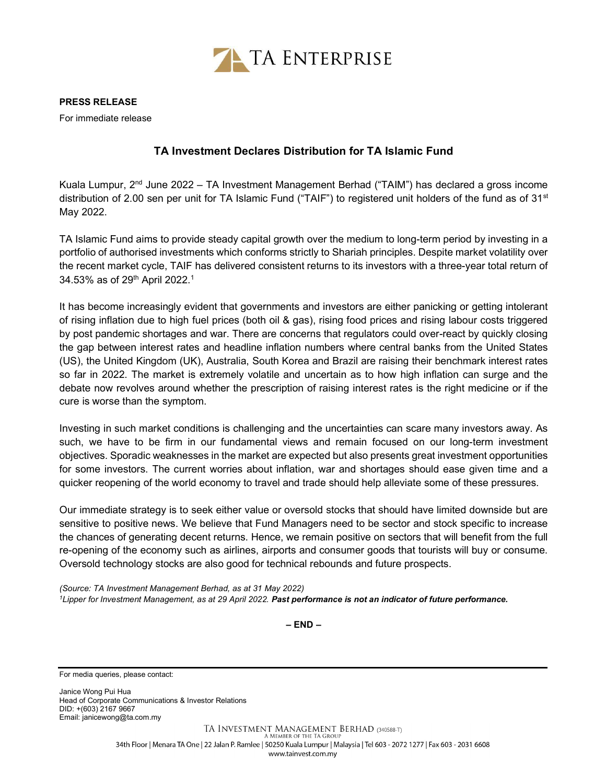

PRESS RELEASE

For immediate release

## TA Investment Declares Distribution for TA Islamic Fund

Kuala Lumpur,  $2<sup>nd</sup>$  June 2022 – TA Investment Management Berhad ("TAIM") has declared a gross income distribution of 2.00 sen per unit for TA Islamic Fund ("TAIF") to registered unit holders of the fund as of 31<sup>st</sup> May 2022.

TA Islamic Fund aims to provide steady capital growth over the medium to long-term period by investing in a portfolio of authorised investments which conforms strictly to Shariah principles. Despite market volatility over the recent market cycle, TAIF has delivered consistent returns to its investors with a three-year total return of 34.53% as of 29<sup>th</sup> April 2022.<sup>1</sup>

It has become increasingly evident that governments and investors are either panicking or getting intolerant of rising inflation due to high fuel prices (both oil & gas), rising food prices and rising labour costs triggered by post pandemic shortages and war. There are concerns that regulators could over-react by quickly closing the gap between interest rates and headline inflation numbers where central banks from the United States (US), the United Kingdom (UK), Australia, South Korea and Brazil are raising their benchmark interest rates so far in 2022. The market is extremely volatile and uncertain as to how high inflation can surge and the debate now revolves around whether the prescription of raising interest rates is the right medicine or if the cure is worse than the symptom.

Investing in such market conditions is challenging and the uncertainties can scare many investors away. As such, we have to be firm in our fundamental views and remain focused on our long-term investment objectives. Sporadic weaknesses in the market are expected but also presents great investment opportunities for some investors. The current worries about inflation, war and shortages should ease given time and a quicker reopening of the world economy to travel and trade should help alleviate some of these pressures.

Our immediate strategy is to seek either value or oversold stocks that should have limited downside but are sensitive to positive news. We believe that Fund Managers need to be sector and stock specific to increase the chances of generating decent returns. Hence, we remain positive on sectors that will benefit from the full re-opening of the economy such as airlines, airports and consumer goods that tourists will buy or consume. Oversold technology stocks are also good for technical rebounds and future prospects.

(Source: TA Investment Management Berhad, as at 31 May 2022) <sup>1</sup>Lipper for Investment Management, as at 29 April 2022. Past performance is not an indicator of future performance.

– END –

For media queries, please contact:

Janice Wong Pui Hua Head of Corporate Communications & Investor Relations DID: +(603) 2167 9667 Email: janicewong@ta.com.my